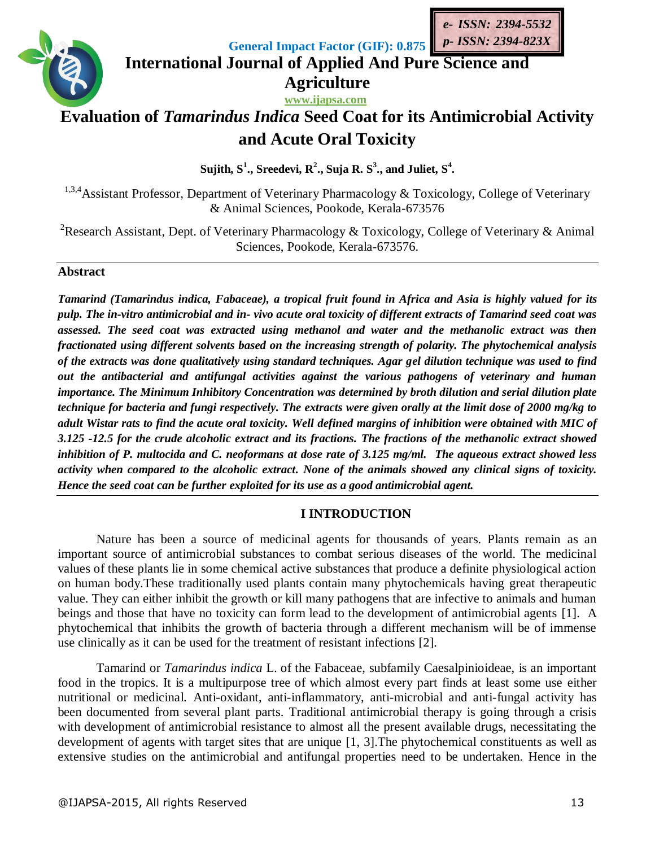

**General Impact Factor (GIF): 0.875**

**International Journal of Applied And Pure Science and Agriculture**

**www.ijapsa.com**

# **Evaluation of** *Tamarindus Indica* **Seed Coat for its Antimicrobial Activity and Acute Oral Toxicity**

Sujith,  $\mathbf{S}^1$ ., Sreedevi,  $\mathbf{R}^2$ ., Suja R.  $\mathbf{S}^3$ ., and Juliet,  $\mathbf{S}^4$ .

<sup>1,3,4</sup> Assistant Professor, Department of Veterinary Pharmacology & Toxicology, College of Veterinary & Animal Sciences, Pookode, Kerala-673576

<sup>2</sup>Research Assistant, Dept. of Veterinary Pharmacology & Toxicology, College of Veterinary & Animal Sciences, Pookode, Kerala-673576.

## **Abstract**

*Tamarind (Tamarindus indica, Fabaceae), a tropical fruit found in Africa and Asia is highly valued for its pulp. The in-vitro antimicrobial and in- vivo acute oral toxicity of different extracts of Tamarind seed coat was assessed. The seed coat was extracted using methanol and water and the methanolic extract was then fractionated using different solvents based on the increasing strength of polarity. The phytochemical analysis of the extracts was done qualitatively using standard techniques. Agar gel dilution technique was used to find out the antibacterial and antifungal activities against the various pathogens of veterinary and human importance. The Minimum Inhibitory Concentration was determined by broth dilution and serial dilution plate technique for bacteria and fungi respectively. The extracts were given orally at the limit dose of 2000 mg/kg to adult Wistar rats to find the acute oral toxicity. Well defined margins of inhibition were obtained with MIC of 3.125 -12.5 for the crude alcoholic extract and its fractions. The fractions of the methanolic extract showed inhibition of P. multocida and C. neoformans at dose rate of 3.125 mg/ml. The aqueous extract showed less activity when compared to the alcoholic extract. None of the animals showed any clinical signs of toxicity. Hence the seed coat can be further exploited for its use as a good antimicrobial agent.*

## **I INTRODUCTION**

Nature has been a source of medicinal agents for thousands of years. Plants remain as an important source of antimicrobial substances to combat serious diseases of the world. The medicinal values of these plants lie in some chemical active substances that produce a definite physiological action on human body.These traditionally used plants contain many phytochemicals having great therapeutic value. They can either inhibit the growth or kill many pathogens that are infective to animals and human beings and those that have no toxicity can form lead to the development of antimicrobial agents [1]. A phytochemical that inhibits the growth of bacteria through a different mechanism will be of immense use clinically as it can be used for the treatment of resistant infections [2].

Tamarind or *Tamarindus indica* L. of the Fabaceae, subfamily Caesalpinioideae, is an important food in the tropics. It is a multipurpose tree of which almost every part finds at least some use either nutritional or medicinal. Anti-oxidant, anti-inflammatory, anti-microbial and anti-fungal activity has been documented from several plant parts. Traditional antimicrobial therapy is going through a crisis with development of antimicrobial resistance to almost all the present available drugs, necessitating the development of agents with target sites that are unique [1, 3].The phytochemical constituents as well as extensive studies on the antimicrobial and antifungal properties need to be undertaken. Hence in the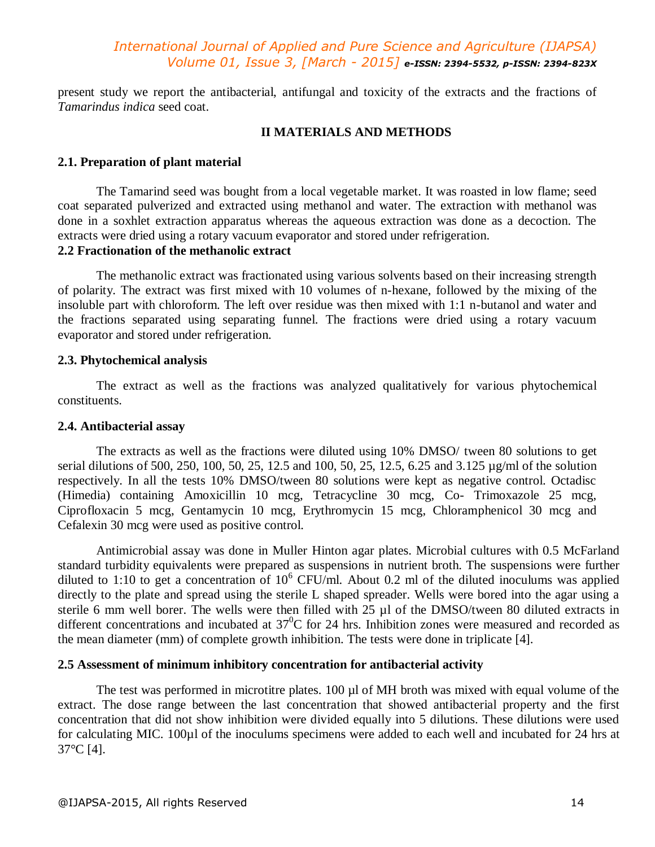present study we report the antibacterial, antifungal and toxicity of the extracts and the fractions of *Tamarindus indica* seed coat.

#### **II MATERIALS AND METHODS**

#### **2.1. Preparation of plant material**

The Tamarind seed was bought from a local vegetable market. It was roasted in low flame; seed coat separated pulverized and extracted using methanol and water. The extraction with methanol was done in a soxhlet extraction apparatus whereas the aqueous extraction was done as a decoction. The extracts were dried using a rotary vacuum evaporator and stored under refrigeration.

### **2.2 Fractionation of the methanolic extract**

The methanolic extract was fractionated using various solvents based on their increasing strength of polarity. The extract was first mixed with 10 volumes of n-hexane, followed by the mixing of the insoluble part with chloroform. The left over residue was then mixed with 1:1 n-butanol and water and the fractions separated using separating funnel. The fractions were dried using a rotary vacuum evaporator and stored under refrigeration.

#### **2.3. Phytochemical analysis**

The extract as well as the fractions was analyzed qualitatively for various phytochemical constituents.

#### **2.4. Antibacterial assay**

The extracts as well as the fractions were diluted using 10% DMSO/ tween 80 solutions to get serial dilutions of 500, 250, 100, 50, 25, 12.5 and 100, 50, 25, 12.5, 6.25 and 3.125 µg/ml of the solution respectively. In all the tests 10% DMSO/tween 80 solutions were kept as negative control. Octadisc (Himedia) containing Amoxicillin 10 mcg, Tetracycline 30 mcg, Co- Trimoxazole 25 mcg, Ciprofloxacin 5 mcg, Gentamycin 10 mcg, Erythromycin 15 mcg, Chloramphenicol 30 mcg and Cefalexin 30 mcg were used as positive control.

Antimicrobial assay was done in Muller Hinton agar plates. Microbial cultures with 0.5 McFarland standard turbidity equivalents were prepared as suspensions in nutrient broth. The suspensions were further diluted to 1:10 to get a concentration of  $10^6$  CFU/ml. About 0.2 ml of the diluted inoculums was applied directly to the plate and spread using the sterile L shaped spreader. Wells were bored into the agar using a sterile 6 mm well borer. The wells were then filled with 25 µl of the DMSO/tween 80 diluted extracts in different concentrations and incubated at  $37^{\circ}$ C for 24 hrs. Inhibition zones were measured and recorded as the mean diameter (mm) of complete growth inhibition. The tests were done in triplicate [4].

#### **2.5 Assessment of minimum inhibitory concentration for antibacterial activity**

The test was performed in microtitre plates. 100 µl of MH broth was mixed with equal volume of the extract. The dose range between the last concentration that showed antibacterial property and the first concentration that did not show inhibition were divided equally into 5 dilutions. These dilutions were used for calculating MIC. 100µl of the inoculums specimens were added to each well and incubated for 24 hrs at 37°C [4].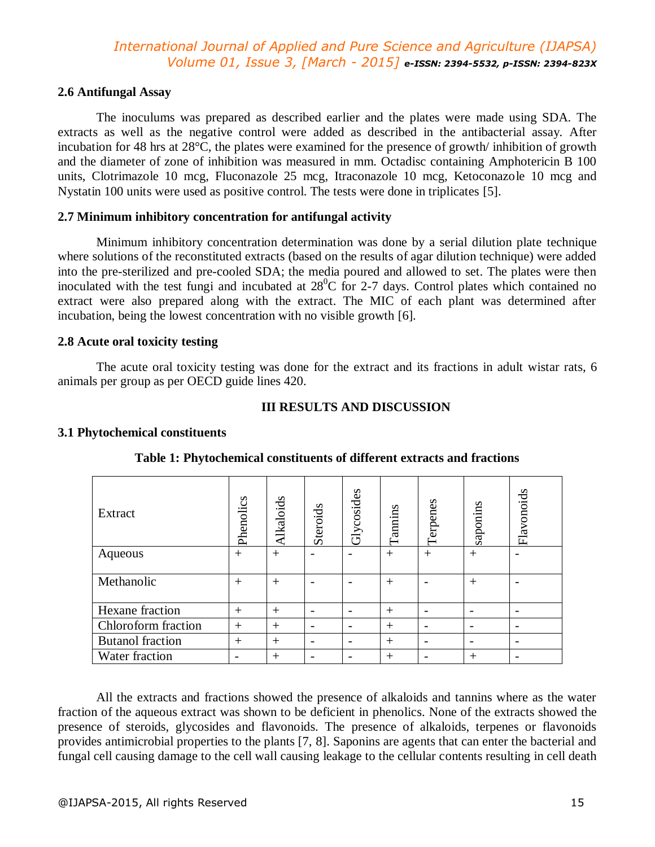#### **2.6 Antifungal Assay**

The inoculums was prepared as described earlier and the plates were made using SDA. The extracts as well as the negative control were added as described in the antibacterial assay. After incubation for 48 hrs at 28°C, the plates were examined for the presence of growth/ inhibition of growth and the diameter of zone of inhibition was measured in mm. Octadisc containing Amphotericin B 100 units, Clotrimazole 10 mcg, Fluconazole 25 mcg, Itraconazole 10 mcg, Ketoconazole 10 mcg and Nystatin 100 units were used as positive control. The tests were done in triplicates [5].

#### **2.7 Minimum inhibitory concentration for antifungal activity**

Minimum inhibitory concentration determination was done by a serial dilution plate technique where solutions of the reconstituted extracts (based on the results of agar dilution technique) were added into the pre-sterilized and pre-cooled SDA; the media poured and allowed to set. The plates were then inoculated with the test fungi and incubated at  $28^{\circ}$ C for 2-7 days. Control plates which contained no extract were also prepared along with the extract. The MIC of each plant was determined after incubation, being the lowest concentration with no visible growth [6].

#### **2.8 Acute oral toxicity testing**

The acute oral toxicity testing was done for the extract and its fractions in adult wistar rats, 6 animals per group as per OECD guide lines 420.

#### **III RESULTS AND DISCUSSION**

#### **3.1 Phytochemical constituents**

| Extract                 | Phenolics | Alkaloids | Steroids | Glycosides               | Tannins | Terpenes | saponins | Flavonoids |
|-------------------------|-----------|-----------|----------|--------------------------|---------|----------|----------|------------|
| Aqueous                 | $^{+}$    | $+$       |          |                          | $^{+}$  | $^{+}$   | $^{+}$   |            |
| Methanolic              | $^{+}$    | $^{+}$    |          |                          | $^{+}$  |          | $^{+}$   |            |
| Hexane fraction         | $^{+}$    | $+$       |          | $\overline{\phantom{0}}$ | $^{+}$  |          |          |            |
| Chloroform fraction     | $^{+}$    | $+$       |          |                          | $^{+}$  |          |          |            |
| <b>Butanol</b> fraction | $^{+}$    | $+$       |          |                          | $^{+}$  |          |          |            |
| Water fraction          |           | $^{+}$    |          |                          | $^{+}$  |          | $^{+}$   |            |

#### **Table 1: Phytochemical constituents of different extracts and fractions**

All the extracts and fractions showed the presence of alkaloids and tannins where as the water fraction of the aqueous extract was shown to be deficient in phenolics. None of the extracts showed the presence of steroids, glycosides and flavonoids. The presence of alkaloids, terpenes or flavonoids provides antimicrobial properties to the plants [7, 8]. Saponins are agents that can enter the bacterial and fungal cell causing damage to the cell wall causing leakage to the cellular contents resulting in cell death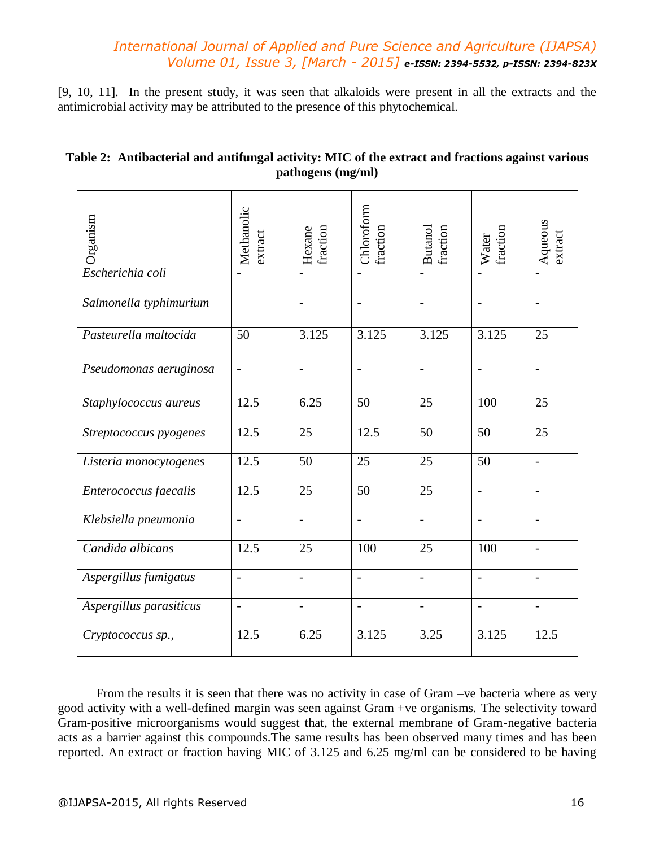[9, 10, 11]. In the present study, it was seen that alkaloids were present in all the extracts and the antimicrobial activity may be attributed to the presence of this phytochemical.

| Table 2: Antibacterial and antifungal activity: MIC of the extract and fractions against various |
|--------------------------------------------------------------------------------------------------|
| pathogens (mg/ml)                                                                                |

| Organism                | Methanolic<br>extract    | Hexane<br>fraction       | Chloroform<br>fraction | Butanol<br>fraction      | fraction<br>Water        | Aqueous<br>extract |
|-------------------------|--------------------------|--------------------------|------------------------|--------------------------|--------------------------|--------------------|
| Escherichia coli        |                          |                          |                        |                          |                          |                    |
| Salmonella typhimurium  |                          | $\overline{\phantom{a}}$ | $\overline{a}$         | $\blacksquare$           | $\overline{\phantom{0}}$ | $\blacksquare$     |
| Pasteurella maltocida   | 50                       | 3.125                    | 3.125                  | 3.125                    | 3.125                    | 25                 |
| Pseudomonas aeruginosa  | $\frac{1}{2}$            | $\overline{a}$           | $\overline{a}$         | $\overline{\phantom{a}}$ | $\overline{a}$           | $\frac{1}{2}$      |
| Staphylococcus aureus   | 12.5                     | 6.25                     | 50                     | 25                       | 100                      | 25                 |
| Streptococcus pyogenes  | 12.5                     | 25                       | 12.5                   | 50                       | 50                       | 25                 |
| Listeria monocytogenes  | 12.5                     | 50                       | 25                     | 25                       | 50                       | $\overline{a}$     |
| Enterococcus faecalis   | 12.5                     | 25                       | 50                     | 25                       | $\overline{\phantom{a}}$ | $\blacksquare$     |
| Klebsiella pneumonia    | $\overline{a}$           | $\overline{a}$           | $\overline{a}$         | $\overline{a}$           | $\overline{a}$           |                    |
| Candida albicans        | 12.5                     | 25                       | 100                    | 25                       | 100                      | $\overline{a}$     |
| Aspergillus fumigatus   | $\overline{a}$           | $\overline{a}$           | $\overline{a}$         | $\overline{a}$           | $\overline{a}$           | $\blacksquare$     |
| Aspergillus parasiticus | $\overline{\phantom{a}}$ | $\overline{a}$           | $\overline{a}$         | $\overline{a}$           | $\overline{a}$           |                    |
| Cryptococcus sp.,       | 12.5                     | 6.25                     | 3.125                  | 3.25                     | 3.125                    | 12.5               |

From the results it is seen that there was no activity in case of Gram –ve bacteria where as very good activity with a well-defined margin was seen against Gram +ve organisms. The selectivity toward Gram-positive microorganisms would suggest that, the external membrane of Gram-negative bacteria acts as a barrier against this compounds.The same results has been observed many times and has been reported. An extract or fraction having MIC of 3.125 and 6.25 mg/ml can be considered to be having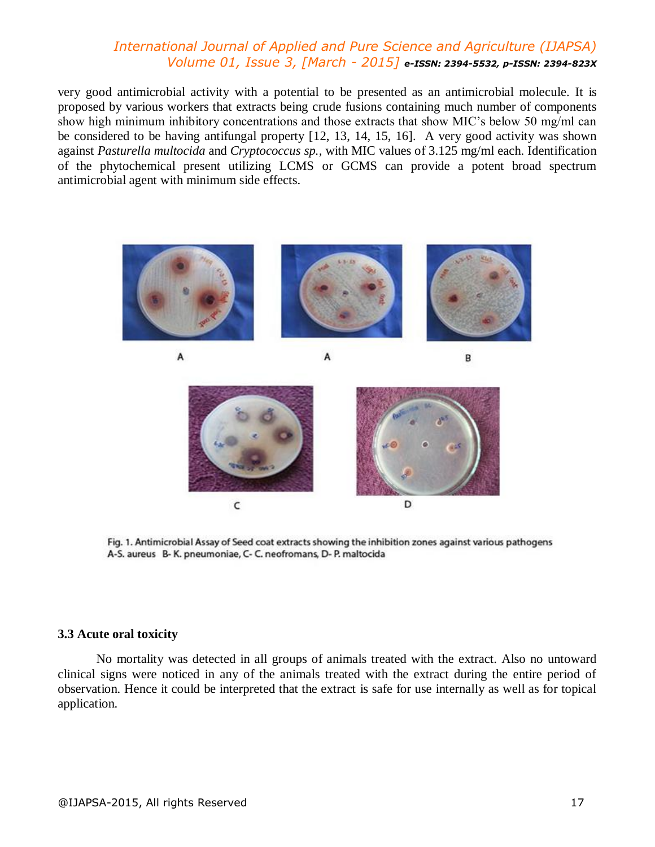very good antimicrobial activity with a potential to be presented as an antimicrobial molecule. It is proposed by various workers that extracts being crude fusions containing much number of components show high minimum inhibitory concentrations and those extracts that show MIC's below 50 mg/ml can be considered to be having antifungal property [12, 13, 14, 15, 16]. A very good activity was shown against *Pasturella multocida* and *Cryptococcus sp.,* with MIC values of 3.125 mg/ml each. Identification of the phytochemical present utilizing LCMS or GCMS can provide a potent broad spectrum antimicrobial agent with minimum side effects.



A

B

A



Fig. 1. Antimicrobial Assay of Seed coat extracts showing the inhibition zones against various pathogens A-S. aureus B-K. pneumoniae, C-C. neofromans, D-P. maltocida

#### **3.3 Acute oral toxicity**

No mortality was detected in all groups of animals treated with the extract. Also no untoward clinical signs were noticed in any of the animals treated with the extract during the entire period of observation. Hence it could be interpreted that the extract is safe for use internally as well as for topical application.